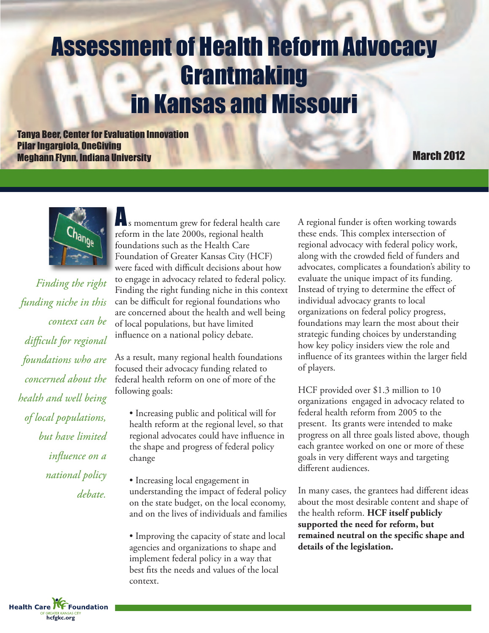# Assessment of Health Reform Advocacy Grantmaking in Kansas and Missouri

**Tanya Beer, Center for Evaluation Innovation Pilar Ingargiola, OneGiving Meghann Flynn, Indiana University March 2012** 



*Finding the right funding niche in this context can be difficult for regional foundations who are concerned about the health and well being of local populations, but have limited influence on a national policy debate.*

s momentum grew for federal health care reform in the late 2000s, regional health foundations such as the Health Care Foundation of Greater Kansas City (HCF) were faced with difficult decisions about how to engage in advocacy related to federal policy. Finding the right funding niche in this context can be difficult for regional foundations who are concerned about the health and well being of local populations, but have limited influence on a national policy debate.

As a result, many regional health foundations focused their advocacy funding related to federal health reform on one of more of the following goals:

• Increasing public and political will for health reform at the regional level, so that regional advocates could have influence in the shape and progress of federal policy change

• Increasing local engagement in understanding the impact of federal policy on the state budget, on the local economy, and on the lives of individuals and families

• Improving the capacity of state and local agencies and organizations to shape and implement federal policy in a way that best fits the needs and values of the local context.

A regional funder is often working towards these ends. This complex intersection of regional advocacy with federal policy work, along with the crowded field of funders and advocates, complicates a foundation's ability to evaluate the unique impact of its funding. Instead of trying to determine the effect of individual advocacy grants to local organizations on federal policy progress, foundations may learn the most about their strategic funding choices by understanding how key policy insiders view the role and influence of its grantees within the larger field of players.

HCF provided over \$1.3 million to 10 organizations engaged in advocacy related to federal health reform from 2005 to the present. Its grants were intended to make progress on all three goals listed above, though each grantee worked on one or more of these goals in very different ways and targeting different audiences.

In many cases, the grantees had different ideas about the most desirable content and shape of the health reform. **HCF itself publicly supported the need for reform, but remained neutral on the specific shape and details of the legislation.**

**Health Care TVF Foundation hcfgkc.org**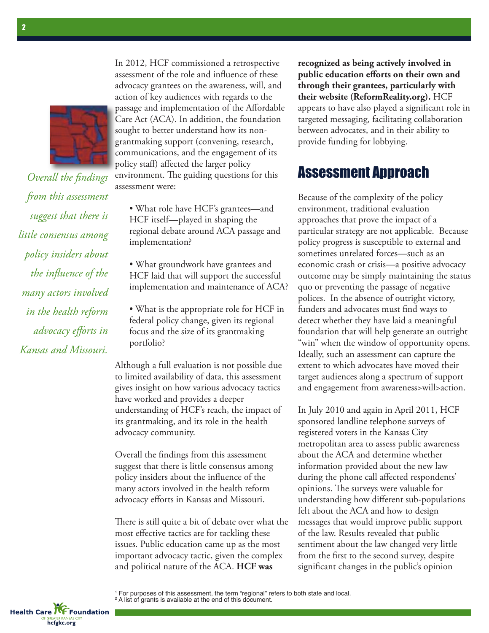

*Overall the findings from this assessment suggest that there is little consensus among policy insiders about the influence of the many actors involved in the health reform advocacy efforts in Kansas and Missouri.*

In 2012, HCF commissioned a retrospective assessment of the role and influence of these advocacy grantees on the awareness, will, and action of key audiences with regards to the passage and implementation of the Affordable Care Act (ACA). In addition, the foundation sought to better understand how its nongrantmaking support (convening, research, communications, and the engagement of its policy staff) affected the larger policy environment. The guiding questions for this assessment were:

• What role have HCF's grantees—and HCF itself—played in shaping the regional debate around ACA passage and implementation?

• What groundwork have grantees and HCF laid that will support the successful implementation and maintenance of ACA?

• What is the appropriate role for HCF in federal policy change, given its regional focus and the size of its grantmaking portfolio?

Although a full evaluation is not possible due to limited availability of data, this assessment gives insight on how various advocacy tactics have worked and provides a deeper understanding of HCF's reach, the impact of its grantmaking, and its role in the health advocacy community.

Overall the findings from this assessment suggest that there is little consensus among policy insiders about the influence of the many actors involved in the health reform advocacy efforts in Kansas and Missouri.

There is still quite a bit of debate over what the most effective tactics are for tackling these issues. Public education came up as the most important advocacy tactic, given the complex and political nature of the ACA. **HCF was**

**recognized as being actively involved in public education efforts on their own and through their grantees, particularly with their website (ReformReality.org).** HCF appears to have also played a significant role in targeted messaging, facilitating collaboration between advocates, and in their ability to provide funding for lobbying.

## Assessment Approach

Because of the complexity of the policy environment, traditional evaluation approaches that prove the impact of a particular strategy are not applicable. Because policy progress is susceptible to external and sometimes unrelated forces—such as an economic crash or crisis—a positive advocacy outcome may be simply maintaining the status quo or preventing the passage of negative polices. In the absence of outright victory, funders and advocates must find ways to detect whether they have laid a meaningful foundation that will help generate an outright "win" when the window of opportunity opens. Ideally, such an assessment can capture the extent to which advocates have moved their target audiences along a spectrum of support and engagement from awareness>will>action.

In July 2010 and again in April 2011, HCF sponsored landline telephone surveys of registered voters in the Kansas City metropolitan area to assess public awareness about the ACA and determine whether information provided about the new law during the phone call affected respondents' opinions. The surveys were valuable for understanding how different sub-populations felt about the ACA and how to design messages that would improve public support of the law. Results revealed that public sentiment about the law changed very little from the first to the second survey, despite significant changes in the public's opinion

<sup>1</sup> For purposes of this assessment, the term "regional" refers to both state and local. <sup>2</sup> A list of grants is available at the end of this document.

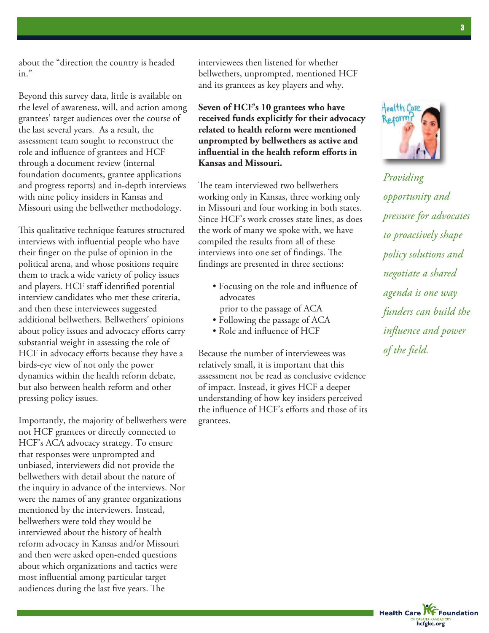about the "direction the country is headed in."

Beyond this survey data, little is available on the level of awareness, will, and action among grantees' target audiences over the course of the last several years. As a result, the assessment team sought to reconstruct the role and influence of grantees and HCF through a document review (internal foundation documents, grantee applications and progress reports) and in-depth interviews with nine policy insiders in Kansas and Missouri using the bellwether methodology.

This qualitative technique features structured interviews with influential people who have their finger on the pulse of opinion in the political arena, and whose positions require them to track a wide variety of policy issues and players. HCF staff identified potential interview candidates who met these criteria, and then these interviewees suggested additional bellwethers. Bellwethers' opinions about policy issues and advocacy efforts carry substantial weight in assessing the role of HCF in advocacy efforts because they have a birds-eye view of not only the power dynamics within the health reform debate, but also between health reform and other pressing policy issues.

Importantly, the majority of bellwethers were not HCF grantees or directly connected to HCF's ACA advocacy strategy. To ensure that responses were unprompted and unbiased, interviewers did not provide the bellwethers with detail about the nature of the inquiry in advance of the interviews. Nor were the names of any grantee organizations mentioned by the interviewers. Instead, bellwethers were told they would be interviewed about the history of health reform advocacy in Kansas and/or Missouri and then were asked open-ended questions about which organizations and tactics were most influential among particular target audiences during the last five years. The

interviewees then listened for whether bellwethers, unprompted, mentioned HCF and its grantees as key players and why.

**Seven of HCF's 10 grantees who have received funds explicitly for their advocacy related to health reform were mentioned unprompted by bellwethers as active and influential in the health reform efforts in Kansas and Missouri.**

The team interviewed two bellwethers working only in Kansas, three working only in Missouri and four working in both states. Since HCF's work crosses state lines, as does the work of many we spoke with, we have compiled the results from all of these interviews into one set of findings. The findings are presented in three sections:

- Focusing on the role and influence of advocates
- prior to the passage of ACA
- Following the passage of ACA • Role and influence of HCF
- 

Because the number of interviewees was relatively small, it is important that this assessment not be read as conclusive evidence of impact. Instead, it gives HCF a deeper understanding of how key insiders perceived the influence of HCF's efforts and those of its grantees.



*Providing opportunity and pressure for advocates to proactively shape policy solutions and negotiate a shared agenda is one way funders can build the influence and power of the field.*

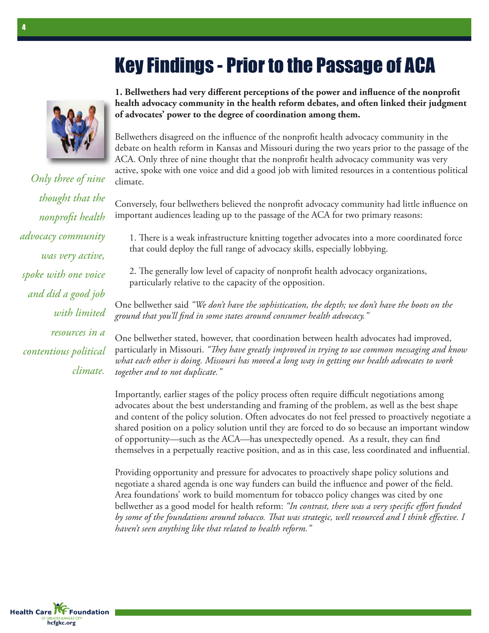## **Key Findings - Prior to the Passage of ACA**



*Only three of nine thought that the nonprofit health advocacy community was very active, spoke with one voice and did a good job with limited resources in a contentious political climate.*

**1. Bellwethers had very different perceptions of the power and influence of the nonprofit health advocacy community in the health reform debates, and often linked their judgment of advocates' power to the degree of coordination among them.**

Bellwethers disagreed on the influence of the nonprofit health advocacy community in the debate on health reform in Kansas and Missouri during the two years prior to the passage of the ACA. Only three of nine thought that the nonprofit health advocacy community was very active, spoke with one voice and did a good job with limited resources in a contentious political climate.

Conversely, four bellwethers believed the nonprofit advocacy community had little influence on important audiences leading up to the passage of the ACA for two primary reasons:

1. There is a weak infrastructure knitting together advocates into a more coordinated force that could deploy the full range of advocacy skills, especially lobbying.

2. The generally low level of capacity of nonprofit health advocacy organizations, particularly relative to the capacity of the opposition.

One bellwether said *"We don't have the sophistication, the depth; we don't have the boots on the ground that you'll find in some states around consumer health advocacy."*

One bellwether stated, however, that coordination between health advocates had improved, particularly in Missouri. "They have greatly *improved in trying to use common messaging and know what each other is doing. Missouri has moved a long way in getting our health advocates to work together and to not duplicate."*

Importantly, earlier stages of the policy process often require difficult negotiations among advocates about the best understanding and framing of the problem, as well as the best shape and content of the policy solution. Often advocates do not feel pressed to proactively negotiate a shared position on a policy solution until they are forced to do so because an important window of opportunity—such as the ACA—has unexpectedly opened. As a result, they can find themselves in a perpetually reactive position, and as in this case, less coordinated and influential.

Providing opportunity and pressure for advocates to proactively shape policy solutions and negotiate a shared agenda is one way funders can build the influence and power of the field. Area foundations' work to build momentum for tobacco policy changes was cited by one bellwether as a good model for health reform: *"In contrast, there was a very specific effort funded by some of the foundations around tobacco. at was strategic, well resourced and I think effective. I haven't seen anything like that related to health reform."*

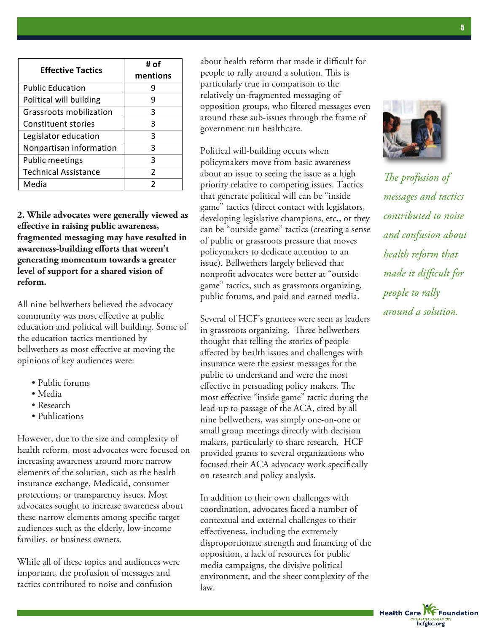| <b>Effective Tactics</b>       | # of<br>mentions |
|--------------------------------|------------------|
| <b>Public Education</b>        |                  |
| Political will building        | 9                |
| <b>Grassroots mobilization</b> | 3                |
| <b>Constituent stories</b>     | 3                |
| Legislator education           | 3                |
| Nonpartisan information        | З                |
| <b>Public meetings</b>         | 3                |
| <b>Technical Assistance</b>    | 2                |
| Media                          | 2                |

about health reform that made it difficult for people to rally around a solution. This is particularly true in comparison to the relatively un-fragmented messaging of opposition groups, who filtered messages even around these sub-issues through the frame of government run healthcare.

Political will-building occurs when policymakers move from basic awareness about an issue to seeing the issue as a high priority relative to competing issues. Tactics that generate political will can be "inside game" tactics (direct contact with legislators, developing legislative champions, etc., or they can be "outside game" tactics (creating a sense of public or grassroots pressure that moves policymakers to dedicate attention to an issue). Bellwethers largely believed that **vision of**  $\frac{1}{2}$  nonprofit advocates were better at "outside  $\frac{m}{2}$ **reform.** The same of the same of the same of the same states, such as grassroots organizing, public forums, and paid and earned media.

> Several of HCF's grantees were seen as leaders in grassroots organizing. Three bellwethers thought that telling the stories of people !! affected by health issues and challenges with insurance were the easiest messages for the public to understand and were the most effective in persuading policy makers. The most effective "inside game" tactic during the lead-up to passage of the ACA, cited by all nine bellwethers, was simply one-on-one or small group meetings directly with decision makers, particularly to share research. HCF provided grants to several organizations who focused their ACA advocacy work specifically *!!* on research and policy analysis.

> In addition to their own challenges with coordination, advocates faced a number of contextual and external challenges to their effectiveness, including the extremely disproportionate strength and financing of the opposition, a lack of resources for public media campaigns, the divisive political environment, and the sheer complexity of the



*e profusion of messages and tactics contributed to noise and confusion about health reform that made it difficult for people to rally around a solution.*

law.

**2. While advocates were generally viewed as effective in raising public awareness,** ( **fragmented messaging may have resulted in awareness-building efforts that weren't generating momentum towards a greater level of support for a shared vision of**

All nine bellwethers believed the advocacy community was most effective at public education and political will building. Some of the education tactics mentioned by bellwethers as most effective at moving the opinions of key audiences were:

- Public forums
- Media

**reform.**

- Research
- Publications

However, due to the size and complexity of health reform, most advocates were focused on increasing awareness around more narrow elements of the solution, such as the health insurance exchange, Medicaid, consumer protections, or transparency issues. Most advocates sought to increase awareness about these narrow elements among specific target audiences such as the elderly, low-income families, or business owners.

While all of these topics and audiences were • important, the profusion of messages and tactics contributed to noise and confusion

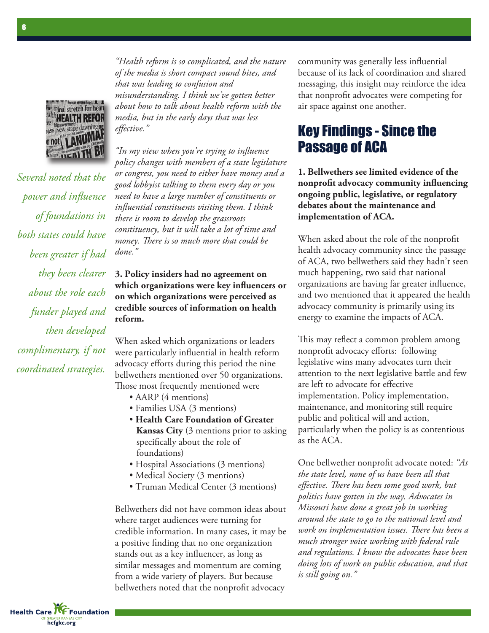

*Several noted that the power and influence of foundations in both states could have been greater if had they been clearer about the role each funder played and then developed complimentary, if not coordinated strategies.*

*"Health reform is so complicated, and the nature of the media is short compact sound bites, and that was leading to confusion and misunderstanding. I think we've gotten better about how to talk about health reform with the media, but in the early days that was less effective."*

*"In my view when you're trying to influence policy changes with members of a state legislature or congress, you need to either have money and a good lobbyist talking to them every day or you need to have a large number of constituents or influential constituents visiting them. I think there is room to develop the grassroots constituency, but it will take a lot of time and money. ere is so much more that could be done."*

#### **3. Policy insiders had no agreement on which organizations were key influencers or on which organizations were perceived as credible sources of information on health reform.**

When asked which organizations or leaders were particularly influential in health reform advocacy efforts during this period the nine bellwethers mentioned over 50 organizations. Those most frequently mentioned were

- AARP (4 mentions)
- Families USA (3 mentions)
- **Health Care Foundation of Greater Kansas City** (3 mentions prior to asking specifically about the role of foundations)
- Hospital Associations (3 mentions)
- Medical Society (3 mentions)
- Truman Medical Center (3 mentions)

Bellwethers did not have common ideas about where target audiences were turning for credible information. In many cases, it may be a positive finding that no one organization stands out as a key influencer, as long as similar messages and momentum are coming from a wide variety of players. But because bellwethers noted that the nonprofit advocacy

community was generally less influential because of its lack of coordination and shared messaging, this insight may reinforce the idea that nonprofit advocates were competing for air space against one another.

## Key Findings - Since the Passage of ACA

**1. Bellwethers see limited evidence of the nonprofit advocacy community influencing ongoing public, legislative, or regulatory debates about the maintenance and implementation of ACA.**

When asked about the role of the nonprofit health advocacy community since the passage of ACA, two bellwethers said they hadn't seen much happening, two said that national organizations are having far greater influence, and two mentioned that it appeared the health advocacy community is primarily using its energy to examine the impacts of ACA.

This may reflect a common problem among nonprofit advocacy efforts: following legislative wins many advocates turn their attention to the next legislative battle and few are left to advocate for effective implementation. Policy implementation, maintenance, and monitoring still require public and political will and action, particularly when the policy is as contentious as the ACA.

One bellwether nonprofit advocate noted: *"At the state level, none of us have been all that effective. ere has been some good work, but politics have gotten in the way. Advocates in Missouri have done a great job in working around the state to go to the national level and work on implementation issues. There has been a much stronger voice working with federal rule and regulations. I know the advocates have been doing lots of work on public education, and that is still going on."*

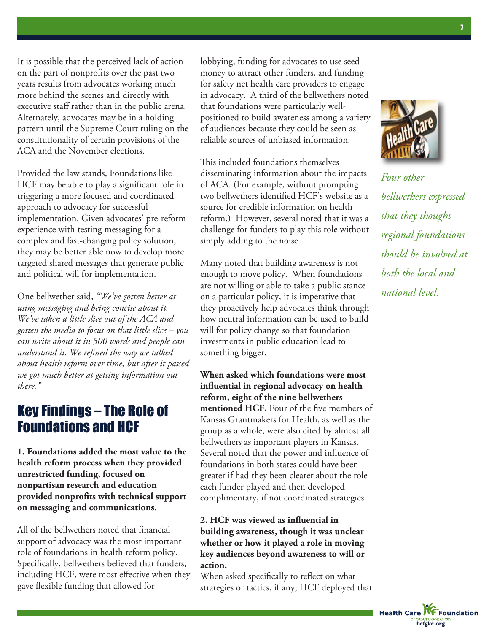It is possible that the perceived lack of action on the part of nonprofits over the past two years results from advocates working much more behind the scenes and directly with executive staff rather than in the public arena. Alternately, advocates may be in a holding pattern until the Supreme Court ruling on the constitutionality of certain provisions of the ACA and the November elections.

Provided the law stands, Foundations like HCF may be able to play a significant role in triggering a more focused and coordinated approach to advocacy for successful implementation. Given advocates' pre-reform experience with testing messaging for a complex and fast-changing policy solution, they may be better able now to develop more targeted shared messages that generate public and political will for implementation.

One bellwether said, *"We've gotten better at using messaging and being concise about it. We've taken a little slice out of the ACA and gotten the media to focus on that little slice – you can write about it in 500 words and people can understand it. We refined the way we talked about health reform over time, but after it passed we got much better at getting information out there."*

## Key Findings – The Role of Foundations and HCF

**1. Foundations added the most value to the health reform process when they provided unrestricted funding, focused on nonpartisan research and education provided nonprofits with technical support on messaging and communications.**

All of the bellwethers noted that financial support of advocacy was the most important role of foundations in health reform policy. Specifically, bellwethers believed that funders, including HCF, were most effective when they gave flexible funding that allowed for

lobbying, funding for advocates to use seed money to attract other funders, and funding for safety net health care providers to engage in advocacy. A third of the bellwethers noted that foundations were particularly wellpositioned to build awareness among a variety of audiences because they could be seen as reliable sources of unbiased information.

This included foundations themselves disseminating information about the impacts of ACA. (For example, without prompting two bellwethers identified HCF's website as a source for credible information on health reform.) However, several noted that it was a challenge for funders to play this role without simply adding to the noise.

Many noted that building awareness is not enough to move policy. When foundations are not willing or able to take a public stance on a particular policy, it is imperative that they proactively help advocates think through how neutral information can be used to build will for policy change so that foundation investments in public education lead to something bigger.

**When asked which foundations were most influential in regional advocacy on health reform, eight of the nine bellwethers mentioned HCF.** Four of the five members of Kansas Grantmakers for Health, as well as the group as a whole, were also cited by almost all bellwethers as important players in Kansas. Several noted that the power and influence of foundations in both states could have been greater if had they been clearer about the role each funder played and then developed complimentary, if not coordinated strategies.

#### **2. HCF was viewed as influential in building awareness, though it was unclear whether or how it played a role in moving key audiences beyond awareness to will or action.**

When asked specifically to reflect on what strategies or tactics, if any, HCF deployed that



*Four other bellwethers expressed that they thought regional foundations should be involved at both the local and national level.*

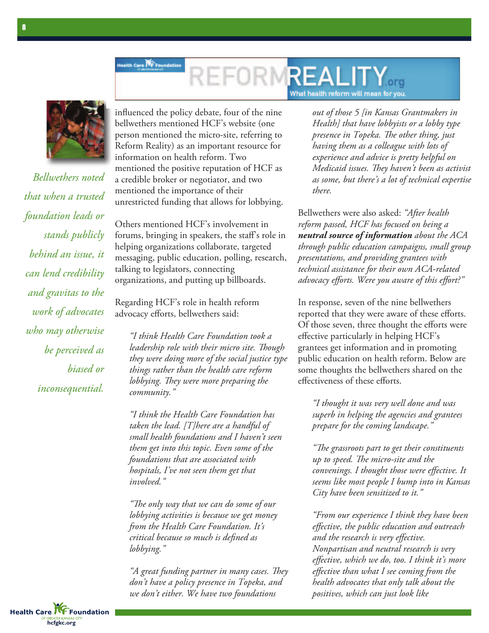### lealth Care **KF** Foundatio **REALIT** What health reform will mean for you



*Bellwethers noted that when a trusted foundation leads or stands publicly behind an issue, it can lend credibility and gravitas to the work of advocates who may otherwise be perceived as biased or inconsequential.*

influenced the policy debate, four of the nine bellwethers mentioned HCF's website (one person mentioned the micro-site, referring to Reform Reality) as an important resource for information on health reform. Two mentioned the positive reputation of HCF as a credible broker or negotiator, and two mentioned the importance of their unrestricted funding that allows for lobbying.

Others mentioned HCF's involvement in forums, bringing in speakers, the staff's role in helping organizations collaborate, targeted messaging, public education, polling, research, talking to legislators, connecting organizations, and putting up billboards.

Regarding HCF's role in health reform advocacy efforts, bellwethers said:

*"I think Health Care Foundation took a leadership role with their micro site*. *Though they were doing more of the social justice type things rather than the health care reform lobbying. They were more preparing the community."*

*"I think the Health Care Foundation has taken the lead. [T]here are a handful of small health foundations and I haven't seen them get into this topic. Even some of the foundations that are associated with hospitals, I've not seen them get that involved."*

*"e only way that we can do some of our lobbying activities is because we get money from the Health Care Foundation. It's critical because so much is defined as lobbying."*

*A* great funding partner in many cases. They *don't have a policy presence in Topeka, and we don't either. We have two foundations*

*out of those 5 [in Kansas Grantmakers in Health] that have lobbyists or a lobby type presence in Topeka. e other thing, just having them as a colleague with lots of experience and advice is pretty helpful on Medicaid issues. They haven't been as activist as some, but there's a lot of technical expertise there.*

Bellwethers were also asked: *"After health reform passed, HCF has focused on being a neutral source of information about the ACA through public education campaigns, small group presentations, and providing grantees with technical assistance for their own ACA-related advocacy efforts. Were you aware of this effort?"*

In response, seven of the nine bellwethers reported that they were aware of these efforts. Of those seven, three thought the efforts were effective particularly in helping HCF's grantees get information and in promoting public education on health reform. Below are some thoughts the bellwethers shared on the effectiveness of these efforts.

*"I thought it was very well done and was superb in helping the agencies and grantees prepare for the coming landscape."*

*"e grassroots part to get their constituents up to speed. e micro-site and the convenings. I thought those were effective. It seems like most people I bump into in Kansas City have been sensitized to it."*

*"From our experience I think they have been effective, the public education and outreach and the research is very effective. Nonpartisan and neutral research is very effective, which we do, too. I think it's more effective than what I see coming from the health advocates that only talk about the positives, which can just look like*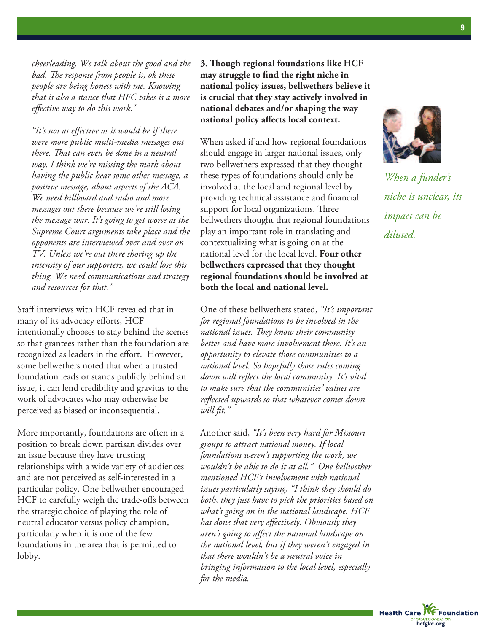*cheerleading. We talk about the good and the bad. e response from people is, ok these people are being honest with me. Knowing that is also a stance that HFC takes is a more effective way to do this work."*

*"It's not as effective as it would be if there were more public multi-media messages out there. That can even be done in a neutral way. I think we're missing the mark about having the public hear some other message, a positive message, about aspects of the ACA. We need billboard and radio and more messages out there because we're still losing the message war. It's going to get worse as the Supreme Court arguments take place and the opponents are interviewed over and over on TV. Unless we're out there shoring up the intensity of our supporters, we could lose this thing. We need communications and strategy and resources for that."*

Staff interviews with HCF revealed that in many of its advocacy efforts, HCF intentionally chooses to stay behind the scenes so that grantees rather than the foundation are recognized as leaders in the effort. However, some bellwethers noted that when a trusted foundation leads or stands publicly behind an issue, it can lend credibility and gravitas to the work of advocates who may otherwise be perceived as biased or inconsequential.

More importantly, foundations are often in a position to break down partisan divides over an issue because they have trusting relationships with a wide variety of audiences and are not perceived as self-interested in a particular policy. One bellwether encouraged HCF to carefully weigh the trade-offs between the strategic choice of playing the role of neutral educator versus policy champion, particularly when it is one of the few foundations in the area that is permitted to lobby.

**3. ough regional foundations like HCF may struggle to find the right niche in national policy issues, bellwethers believe it is crucial that they stay actively involved in national debates and/or shaping the way national policy affects local context.**

When asked if and how regional foundations should engage in larger national issues, only two bellwethers expressed that they thought these types of foundations should only be involved at the local and regional level by providing technical assistance and financial support for local organizations. Three bellwethers thought that regional foundations play an important role in translating and contextualizing what is going on at the national level for the local level. **Four other bellwethers expressed that they thought regional foundations should be involved at both the local and national level.**

One of these bellwethers stated, *"It's important for regional foundations to be involved in the national issues. They know their community better and have more involvement there. It's an opportunity to elevate those communities to a national level. So hopefully those rules coming down will reflect the local community. It's vital to make sure that the communities' values are reflected upwards so that whatever comes down will fit."*

Another said, *"It's been very hard for Missouri groups to attract national money. If local foundations weren't supporting the work, we wouldn't be able to do it at all." One bellwether mentioned HCF's involvement with national issues particularly saying, "I think they should do both, they just have to pick the priorities based on what's going on in the national landscape. HCF has done that very effectively. Obviously they aren't going to affect the national landscape on the national level, but if they weren't engaged in that there wouldn't be a neutral voice in bringing information to the local level, especially for the media.*



*When a funder's niche is unclear, its impact can be diluted.*

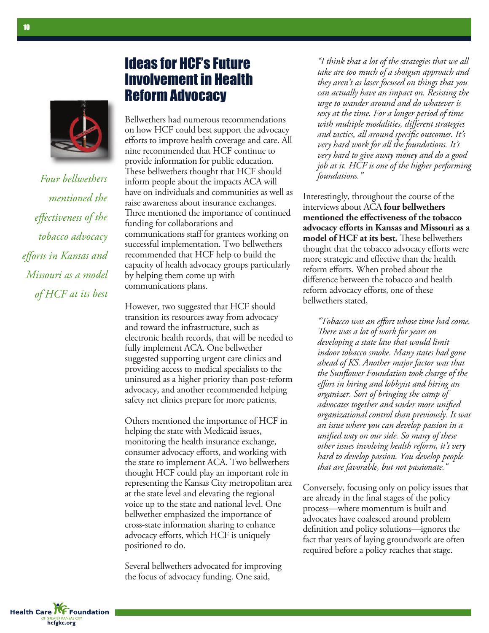

*Four bellwethers mentioned the effectiveness of the tobacco advocacy efforts in Kansas and Missouri as <sup>a</sup> model of HCF at its best*

**hcfgkc.org**

**Health Care KE Foundation** 

## Ideas for HCF's Future Involvement in Health Reform Advocacy

Bellwethers had numerous recommendations on how HCF could best support the advocacy efforts to improve health coverage and care. All nine recommended that HCF continue to provide information for public education. These bellwethers thought that HCF should inform people about the impacts ACA will have on individuals and communities as well as raise awareness about insurance exchanges. Three mentioned the importance of continued funding for collaborations and communications staff for grantees working on successful implementation. Two bellwethers recommended that HCF help to build the capacity of health advocacy groups particularly by helping them come up with communications plans.

However, two suggested that HCF should transition its resources away from advocacy and toward the infrastructure, such as electronic health records, that will be needed to fully implement ACA. One bellwether suggested supporting urgent care clinics and providing access to medical specialists to the uninsured as a higher priority than post-reform advocacy, and another recommended helping safety net clinics prepare for more patients.

Others mentioned the importance of HCF in helping the state with Medicaid issues, monitoring the health insurance exchange, consumer advocacy efforts, and working with the state to implement ACA. Two bellwethers thought HCF could play an important role in representing the Kansas City metropolitan area at the state level and elevating the regional voice up to the state and national level. One bellwether emphasized the importance of cross-state information sharing to enhance advocacy efforts, which HCF is uniquely positioned to do.

Several bellwethers advocated for improving the focus of advocacy funding. One said,

*"I think that a lot of the strategies that we all take are too much of a shotgun approach and they aren't as laser focused on things that you can actually have an impact on. Resisting the urge to wander around and do whatever is sexy at the time. For a longer period of time with multiple modalities, different strategies and tactics, all around specific outcomes. It's very hard work for all the foundations. It's very hard to give away money and do a good job at it. HCF is one of the higher performing foundations."*

Interestingly, throughout the course of the interviews about ACA **four bellwethers mentioned the effectiveness of the tobacco advocacy efforts in Kansas and Missouri as a model** of **HCF** at its best. These bellwethers thought that the tobacco advocacy efforts were more strategic and effective than the health reform efforts. When probed about the difference between the tobacco and health reform advocacy efforts, one of these bellwethers stated,

*"Tobacco was an effort whose time had come. ere was a lot of work for years on developing a state law that would limit indoor tobacco smoke. Many states had gone ahead of KS. Another major factor was that the Sunflower Foundation took charge of the effort in hiring and lobbyist and hiring an organizer. Sort of bringing the camp of advocates together and under more unified organizational control than previously. It was an issue where you can develop passion in a unified way on our side. So many of these other issues involving health reform, it's very hard to develop passion. You develop people that are favorable, but not passionate."*

Conversely, focusing only on policy issues that are already in the final stages of the policy process—where momentum is built and advocates have coalesced around problem definition and policy solutions—ignores the fact that years of laying groundwork are often required before a policy reaches that stage.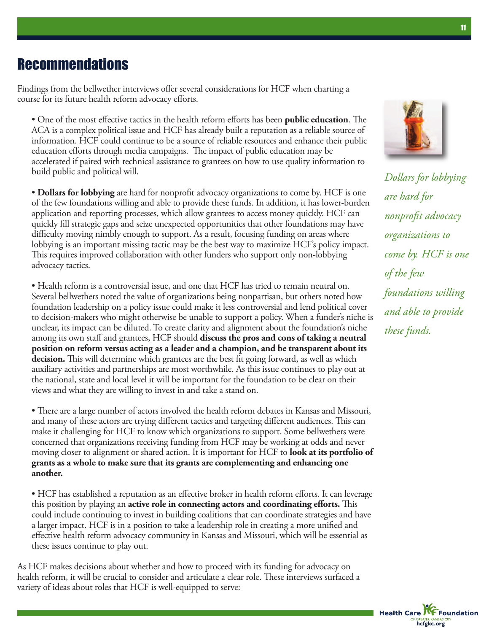## **Recommendations**

Findings from the bellwether interviews offer several considerations for HCF when charting a course for its future health reform advocacy efforts.

• One of the most effective tactics in the health reform efforts has been **public education**. The ACA is a complex political issue and HCF has already built a reputation as a reliable source of information. HCF could continue to be a source of reliable resources and enhance their public education efforts through media campaigns. The impact of public education may be accelerated if paired with technical assistance to grantees on how to use quality information to build public and political will.

• **Dollars for lobbying** are hard for nonprofit advocacy organizations to come by. HCF is one of the few foundations willing and able to provide these funds. In addition, it has lower-burden application and reporting processes, which allow grantees to access money quickly. HCF can quickly fill strategic gaps and seize unexpected opportunities that other foundations may have difficulty moving nimbly enough to support. As a result, focusing funding on areas where lobbying is an important missing tactic may be the best way to maximize HCF's policy impact. This requires improved collaboration with other funders who support only non-lobbying advocacy tactics.

• Health reform is a controversial issue, and one that HCF has tried to remain neutral on. Several bellwethers noted the value of organizations being nonpartisan, but others noted how foundation leadership on a policy issue could make it less controversial and lend political cover to decision-makers who might otherwise be unable to support a policy. When a funder's niche is unclear, its impact can be diluted. To create clarity and alignment about the foundation's niche among its own staff and grantees, HCF should **discuss the pros and cons of taking a neutral position on reform versus acting as a leader and a champion, and be transparent about its decision.** This will determine which grantees are the best fit going forward, as well as which auxiliary activities and partnerships are most worthwhile. As this issue continues to play out at the national, state and local level it will be important for the foundation to be clear on their views and what they are willing to invest in and take a stand on.

• There are a large number of actors involved the health reform debates in Kansas and Missouri, and many of these actors are trying different tactics and targeting different audiences. This can make it challenging for HCF to know which organizations to support. Some bellwethers were concerned that organizations receiving funding from HCF may be working at odds and never moving closer to alignment or shared action. It is important for HCF to **look at its portfolio of grants as a whole to make sure that its grants are complementing and enhancing one another.**

• HCF has established a reputation as an effective broker in health reform efforts. It can leverage this position by playing an **active role in connecting actors and coordinating efforts.** is could include continuing to invest in building coalitions that can coordinate strategies and have a larger impact. HCF is in a position to take a leadership role in creating a more unified and effective health reform advocacy community in Kansas and Missouri, which will be essential as these issues continue to play out.

As HCF makes decisions about whether and how to proceed with its funding for advocacy on health reform, it will be crucial to consider and articulate a clear role. These interviews surfaced a variety of ideas about roles that HCF is well-equipped to serve:



*Dollars for lobbying are hard for nonprofit advocacy organizations to come by. HCF is one of the few foundations willing and able to provide these funds.*